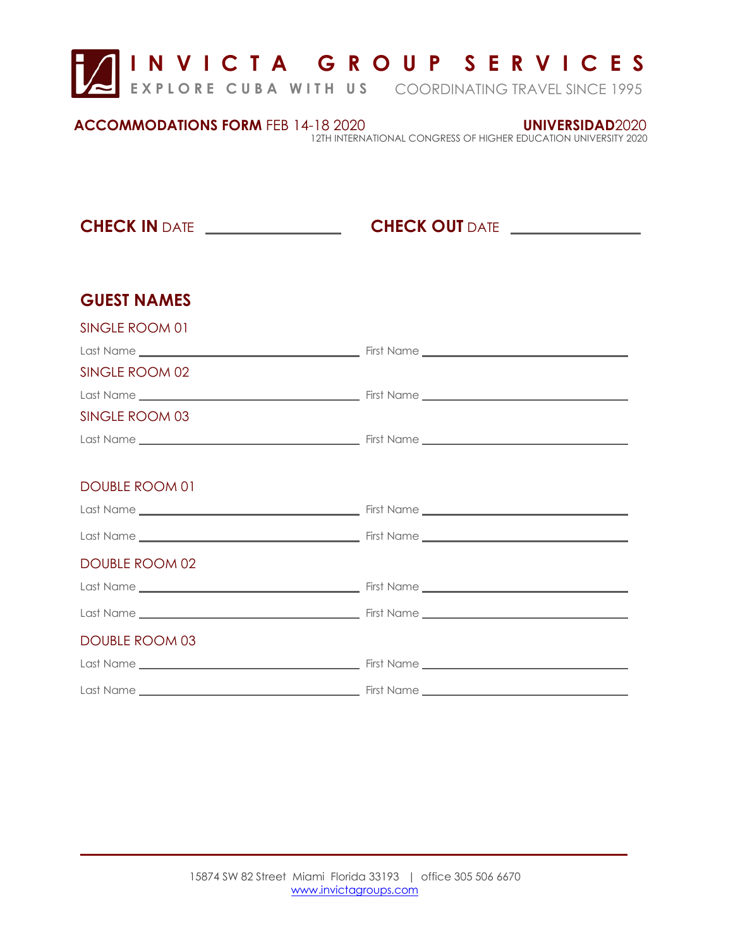

| <b>ACCOMMODATIONS FORM FEB 14-18 2020</b> | UNIVERSIDAD2020                                                 |
|-------------------------------------------|-----------------------------------------------------------------|
|                                           | 12TH INTERNATIONAL CONGRESS OF HIGHER EDUCATION UNIVERSITY 2020 |

**CHECK IN** DATE **CHECK OUT** DATE

## **GUEST NAMES**

 $\overline{\phantom{a}}$ 

| SINGLE ROOM 01        |  |
|-----------------------|--|
|                       |  |
| SINGLE ROOM 02        |  |
|                       |  |
| SINGLE ROOM 03        |  |
|                       |  |
|                       |  |
| DOUBLE ROOM 01        |  |
|                       |  |
|                       |  |
| <b>DOUBLE ROOM 02</b> |  |
|                       |  |
|                       |  |
| <b>DOUBLE ROOM 03</b> |  |
|                       |  |
|                       |  |